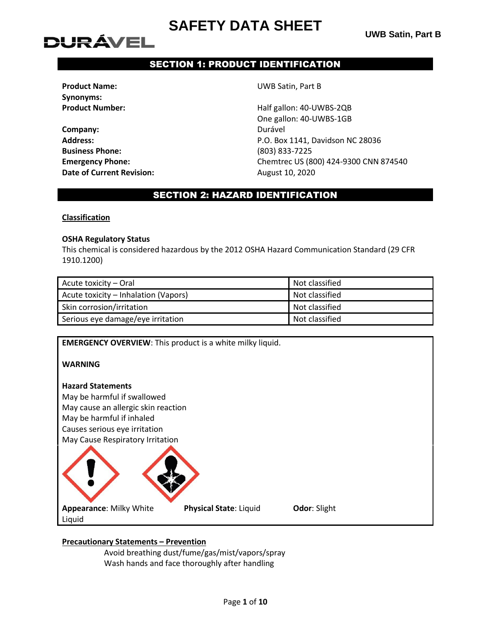# DURÁVEL

## SECTION 1: PRODUCT IDENTIFICATION

**Synonyms:**

**Company:** Durável **Business Phone:** (803) 833-7225 **Date of Current Revision:** August 10, 2020

**Product Name:** UWB Satin, Part B

**Product Number:**  $H\text{alf gallon: }40\text{-}U\text{WBS-2QB}$ One gallon: 40-UWBS-1GB **Address:** P.O. Box 1141, Davidson NC 28036 **Emergency Phone:** Chemtrec US (800) 424-9300 CNN 874540

## SECTION 2: HAZARD IDENTIFICATION

#### **Classification**

#### **OSHA Regulatory Status**

This chemical is considered hazardous by the 2012 OSHA Hazard Communication Standard (29 CFR 1910.1200)

| Acute toxicity – Oral                | Not classified |
|--------------------------------------|----------------|
| Acute toxicity – Inhalation (Vapors) | Not classified |
| Skin corrosion/irritation            | Not classified |
| Serious eye damage/eye irritation    | Not classified |

**EMERGENCY OVERVIEW**: This product is a white milky liquid.

**WARNING**

## **Hazard Statements**

May be harmful if swallowed May cause an allergic skin reaction May be harmful if inhaled Causes serious eye irritation May Cause Respiratory Irritation



## **Precautionary Statements – Prevention**

Avoid breathing dust/fume/gas/mist/vapors/spray Wash hands and face thoroughly after handling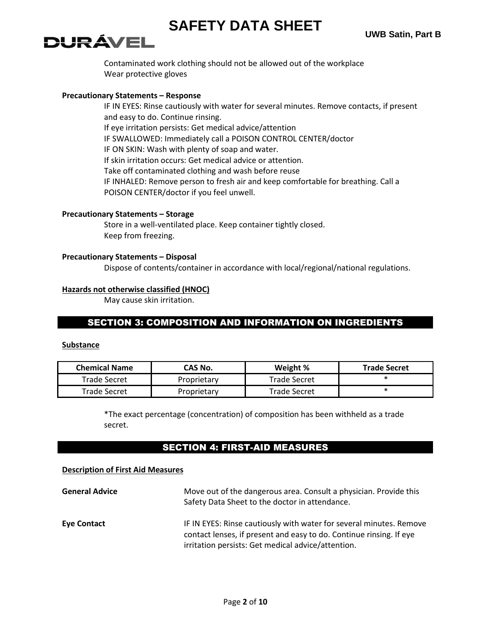# DURÁVEL

Contaminated work clothing should not be allowed out of the workplace Wear protective gloves

#### **Precautionary Statements – Response**

IF IN EYES: Rinse cautiously with water for several minutes. Remove contacts, if present and easy to do. Continue rinsing. If eye irritation persists: Get medical advice/attention IF SWALLOWED: Immediately call a POISON CONTROL CENTER/doctor IF ON SKIN: Wash with plenty of soap and water. If skin irritation occurs: Get medical advice or attention. Take off contaminated clothing and wash before reuse IF INHALED: Remove person to fresh air and keep comfortable for breathing. Call a POISON CENTER/doctor if you feel unwell.

## **Precautionary Statements – Storage**

Store in a well-ventilated place. Keep container tightly closed. Keep from freezing.

#### **Precautionary Statements – Disposal**

Dispose of contents/container in accordance with local/regional/national regulations.

#### **Hazards not otherwise classified (HNOC)**

May cause skin irritation.

## SECTION 3: COMPOSITION AND INFORMATION ON INGREDIENTS

#### **Substance**

| <b>Chemical Name</b> | CAS No.     | Weight %            | <b>Trade Secret</b> |
|----------------------|-------------|---------------------|---------------------|
| Trade Secret         | Proprietary | <b>Trade Secret</b> |                     |
| Trade Secret         | Proprietary | Trade Secret        |                     |

\*The exact percentage (concentration) of composition has been withheld as a trade secret.

## SECTION 4: FIRST-AID MEASURES

#### **Description of First Aid Measures**

| <b>General Advice</b> | Move out of the dangerous area. Consult a physician. Provide this<br>Safety Data Sheet to the doctor in attendance.                                                                              |
|-----------------------|--------------------------------------------------------------------------------------------------------------------------------------------------------------------------------------------------|
| <b>Eye Contact</b>    | IF IN EYES: Rinse cautiously with water for several minutes. Remove<br>contact lenses, if present and easy to do. Continue rinsing. If eye<br>irritation persists: Get medical advice/attention. |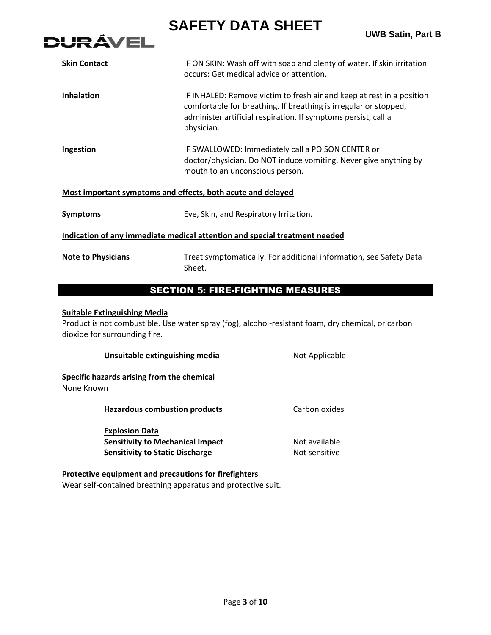

|                                     | <b>UWB Satin, Part</b>                                                                                                                                                                                                    |
|-------------------------------------|---------------------------------------------------------------------------------------------------------------------------------------------------------------------------------------------------------------------------|
| <b>Skin Contact</b>                 | IF ON SKIN: Wash off with soap and plenty of water. If skin irritation<br>occurs: Get medical advice or attention.                                                                                                        |
| <b>Inhalation</b>                   | IF INHALED: Remove victim to fresh air and keep at rest in a position<br>comfortable for breathing. If breathing is irregular or stopped,<br>administer artificial respiration. If symptoms persist, call a<br>physician. |
| Ingestion                           | IF SWALLOWED: Immediately call a POISON CENTER or<br>doctor/physician. Do NOT induce vomiting. Never give anything by<br>mouth to an unconscious person.                                                                  |
|                                     | Most important symptoms and effects, both acute and delayed                                                                                                                                                               |
| <b>Symptoms</b>                     | Eye, Skin, and Respiratory Irritation.                                                                                                                                                                                    |
|                                     | Indication of any immediate medical attention and special treatment needed                                                                                                                                                |
| <b>Note to Physicians</b>           | Treat symptomatically. For additional information, see Safety Data<br>Sheet.                                                                                                                                              |
|                                     | <b>SECTION 5: FIRE-FIGHTING MEASURES</b>                                                                                                                                                                                  |
| <b>Suitable Extinguishing Media</b> |                                                                                                                                                                                                                           |

Product is not combustible. Use water spray (fog), alcohol-resistant foam, dry chemical, or carbon dioxide for surrounding fire.

| Unsuitable extinguishing media                                                                             | Not Applicable                 |
|------------------------------------------------------------------------------------------------------------|--------------------------------|
| Specific hazards arising from the chemical<br>None Known                                                   |                                |
| Hazardous combustion products                                                                              | Carbon oxides                  |
| <b>Explosion Data</b><br><b>Sensitivity to Mechanical Impact</b><br><b>Sensitivity to Static Discharge</b> | Not available<br>Not sensitive |

**Protective equipment and precautions for firefighters** Wear self-contained breathing apparatus and protective suit.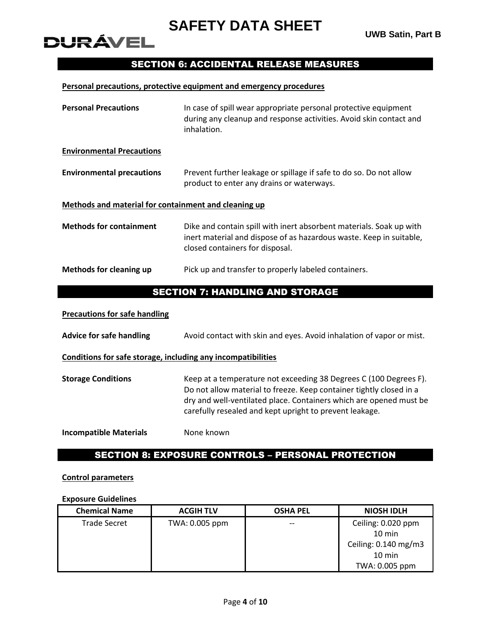## SECTION 6: ACCIDENTAL RELEASE MEASURES

#### **Personal precautions, protective equipment and emergency procedures**

| <b>Personal Precautions</b>                                  | In case of spill wear appropriate personal protective equipment<br>during any cleanup and response activities. Avoid skin contact and<br>inhalation.                                                                                                                      |  |  |  |
|--------------------------------------------------------------|---------------------------------------------------------------------------------------------------------------------------------------------------------------------------------------------------------------------------------------------------------------------------|--|--|--|
| <b>Environmental Precautions</b>                             |                                                                                                                                                                                                                                                                           |  |  |  |
| <b>Environmental precautions</b>                             | Prevent further leakage or spillage if safe to do so. Do not allow<br>product to enter any drains or waterways.                                                                                                                                                           |  |  |  |
| Methods and material for containment and cleaning up         |                                                                                                                                                                                                                                                                           |  |  |  |
| <b>Methods for containment</b>                               | Dike and contain spill with inert absorbent materials. Soak up with<br>inert material and dispose of as hazardous waste. Keep in suitable,<br>closed containers for disposal.                                                                                             |  |  |  |
| <b>Methods for cleaning up</b>                               | Pick up and transfer to properly labeled containers.                                                                                                                                                                                                                      |  |  |  |
|                                                              | <b>SECTION 7: HANDLING AND STORAGE</b>                                                                                                                                                                                                                                    |  |  |  |
| <b>Precautions for safe handling</b>                         |                                                                                                                                                                                                                                                                           |  |  |  |
| <b>Advice for safe handling</b>                              | Avoid contact with skin and eyes. Avoid inhalation of vapor or mist.                                                                                                                                                                                                      |  |  |  |
| Conditions for safe storage, including any incompatibilities |                                                                                                                                                                                                                                                                           |  |  |  |
| <b>Storage Conditions</b>                                    | Keep at a temperature not exceeding 38 Degrees C (100 Degrees F).<br>Do not allow material to freeze. Keep container tightly closed in a<br>dry and well-ventilated place. Containers which are opened must be<br>carefully resealed and kept upright to prevent leakage. |  |  |  |
| <b>Incompatible Materials</b>                                | None known                                                                                                                                                                                                                                                                |  |  |  |

## SECTION 8: EXPOSURE CONTROLS – PERSONAL PROTECTION

#### **Control parameters**

**DURÁVEL** 

## **Exposure Guidelines**

| <b>Chemical Name</b> | <b>ACGIH TLV</b> | <b>OSHA PEL</b> | <b>NIOSH IDLH</b>    |
|----------------------|------------------|-----------------|----------------------|
| <b>Trade Secret</b>  | TWA: 0.005 ppm   | $- -$           | Ceiling: 0.020 ppm   |
|                      |                  |                 | $10 \text{ min}$     |
|                      |                  |                 | Ceiling: 0.140 mg/m3 |
|                      |                  |                 | $10 \text{ min}$     |
|                      |                  |                 | TWA: 0.005 ppm       |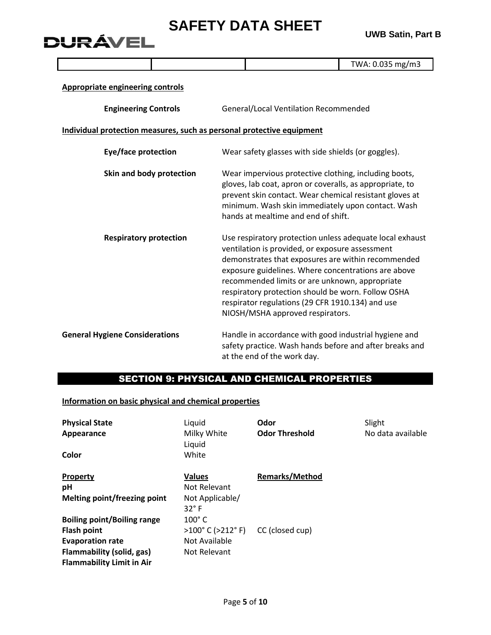**UWB Satin, Part B**

|                                         |                                                                       |                                                                                                                                                                                                                                                                          |                                                                                                                                                                                                                                                                                                                                                                                                                          | TWA: 0.035 mg/m3 |  |
|-----------------------------------------|-----------------------------------------------------------------------|--------------------------------------------------------------------------------------------------------------------------------------------------------------------------------------------------------------------------------------------------------------------------|--------------------------------------------------------------------------------------------------------------------------------------------------------------------------------------------------------------------------------------------------------------------------------------------------------------------------------------------------------------------------------------------------------------------------|------------------|--|
| <b>Appropriate engineering controls</b> |                                                                       |                                                                                                                                                                                                                                                                          |                                                                                                                                                                                                                                                                                                                                                                                                                          |                  |  |
| <b>Engineering Controls</b>             |                                                                       |                                                                                                                                                                                                                                                                          | General/Local Ventilation Recommended                                                                                                                                                                                                                                                                                                                                                                                    |                  |  |
|                                         | Individual protection measures, such as personal protective equipment |                                                                                                                                                                                                                                                                          |                                                                                                                                                                                                                                                                                                                                                                                                                          |                  |  |
| Eye/face protection                     |                                                                       | Wear safety glasses with side shields (or goggles).                                                                                                                                                                                                                      |                                                                                                                                                                                                                                                                                                                                                                                                                          |                  |  |
| Skin and body protection                |                                                                       | Wear impervious protective clothing, including boots,<br>gloves, lab coat, apron or coveralls, as appropriate, to<br>prevent skin contact. Wear chemical resistant gloves at<br>minimum. Wash skin immediately upon contact. Wash<br>hands at mealtime and end of shift. |                                                                                                                                                                                                                                                                                                                                                                                                                          |                  |  |
| <b>Respiratory protection</b>           |                                                                       |                                                                                                                                                                                                                                                                          | Use respiratory protection unless adequate local exhaust<br>ventilation is provided, or exposure assessment<br>demonstrates that exposures are within recommended<br>exposure guidelines. Where concentrations are above<br>recommended limits or are unknown, appropriate<br>respiratory protection should be worn. Follow OSHA<br>respirator regulations (29 CFR 1910.134) and use<br>NIOSH/MSHA approved respirators. |                  |  |
| <b>General Hygiene Considerations</b>   |                                                                       |                                                                                                                                                                                                                                                                          | Handle in accordance with good industrial hygiene and<br>safety practice. Wash hands before and after breaks and                                                                                                                                                                                                                                                                                                         |                  |  |

## SECTION 9: PHYSICAL AND CHEMICAL PROPERTIES

at the end of the work day.

**Information on basic physical and chemical properties**

**DURÁVEL** 

| <b>Physical State</b>              | Liquid                               | Odor                  | Slight            |
|------------------------------------|--------------------------------------|-----------------------|-------------------|
| Appearance                         | Milky White<br>Liquid                | <b>Odor Threshold</b> | No data available |
| Color                              | White                                |                       |                   |
| <b>Property</b>                    | <b>Values</b>                        | <b>Remarks/Method</b> |                   |
| рH                                 | Not Relevant                         |                       |                   |
| Melting point/freezing point       | Not Applicable/<br>$32^\circ$ F      |                       |                   |
| <b>Boiling point/Boiling range</b> | $100^\circ$ C                        |                       |                   |
| <b>Flash point</b>                 | $>100^{\circ}$ C ( $>212^{\circ}$ F) | CC (closed cup)       |                   |
| <b>Evaporation rate</b>            | Not Available                        |                       |                   |
| Flammability (solid, gas)          | Not Relevant                         |                       |                   |
| <b>Flammability Limit in Air</b>   |                                      |                       |                   |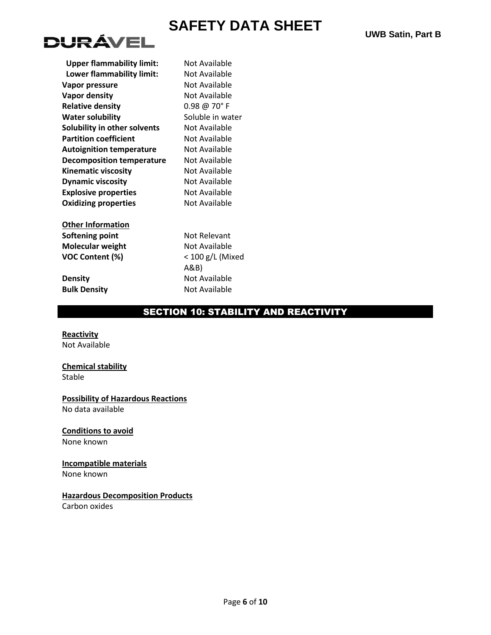

| <b>Upper flammability limit:</b> | No  |
|----------------------------------|-----|
| Lower flammability limit:        | No  |
| Vapor pressure                   | No  |
| <b>Vapor density</b>             | No  |
| <b>Relative density</b>          | 0.9 |
| <b>Water solubility</b>          | Sol |
| Solubility in other solvents     | No  |
| <b>Partition coefficient</b>     | No  |
| <b>Autoignition temperature</b>  | No  |
| <b>Decomposition temperature</b> | No  |
| <b>Kinematic viscosity</b>       | No  |
| <b>Dynamic viscosity</b>         | No  |
| <b>Explosive properties</b>      | No  |
| <b>Oxidizing properties</b>      | No  |
|                                  |     |

**Other Information Softening point** Not Relevant **Molecular weight** Not Available **VOC Content (%)** < 100 g/L (Mixed

*I* Available *I* **Available Randable R** Available **Relative density** 0.98 @ 70° F **Juble in water Solut** Available **Partidisch Rutable Decomber K**inematic **Dramic Available Explore** Available **ot Available** 

A&B) **Density** Not Available **Bulk Density** Not Available

## SECTION 10: STABILITY AND REACTIVITY

**Reactivity** Not Available

## **Chemical stability**

Stable

## **Possibility of Hazardous Reactions**

No data available

## **Conditions to avoid**

None known

## **Incompatible materials**

None known

## **Hazardous Decomposition Products**

Carbon oxides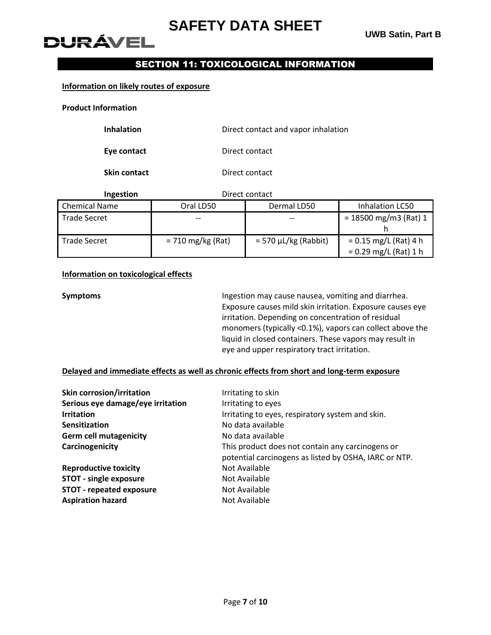# **DURÁVEI**

## SECTION 11: TOXICOLOGICAL INFORMATION

#### **Information on likely routes of exposure**

**Product Information**

| <b>Inhalation</b> | Direct contact and vapor inhalation |
|-------------------|-------------------------------------|
|-------------------|-------------------------------------|

**Eye contact** Direct contact

**Skin contact** Direct contact

| <b>Ingestion</b>     | Direct contact      |                             |                                                    |
|----------------------|---------------------|-----------------------------|----------------------------------------------------|
| <b>Chemical Name</b> | Oral LD50           | Dermal LD50                 | Inhalation LC50                                    |
| <b>Trade Secret</b>  |                     |                             | $= 18500$ mg/m3 (Rat) 1                            |
| Trade Secret         | $= 710$ mg/kg (Rat) | $=$ 570 $\mu$ L/kg (Rabbit) | $= 0.15$ mg/L (Rat) 4 h<br>$= 0.29$ mg/L (Rat) 1 h |

## **Information on toxicological effects**

**Symptoms Ingestion may cause nausea, vomiting and diarrhea.** Exposure causes mild skin irritation. Exposure causes eye irritation. Depending on concentration of residual monomers (typically <0.1%), vapors can collect above the liquid in closed containers. These vapors may result in eye and upper respiratory tract irritation.

## **Delayed and immediate effects as well as chronic effects from short and long-term exposure**

| <b>Skin corrosion/irritation</b>  | Irritating to skin                                                                                        |
|-----------------------------------|-----------------------------------------------------------------------------------------------------------|
| Serious eye damage/eye irritation | Irritating to eyes                                                                                        |
| <b>Irritation</b>                 | Irritating to eyes, respiratory system and skin.                                                          |
| <b>Sensitization</b>              | No data available                                                                                         |
| <b>Germ cell mutagenicity</b>     | No data available                                                                                         |
| Carcinogenicity                   | This product does not contain any carcinogens or<br>potential carcinogens as listed by OSHA, IARC or NTP. |
| <b>Reproductive toxicity</b>      | Not Available                                                                                             |
| <b>STOT - single exposure</b>     | Not Available                                                                                             |
| <b>STOT - repeated exposure</b>   | Not Available                                                                                             |
| <b>Aspiration hazard</b>          | Not Available                                                                                             |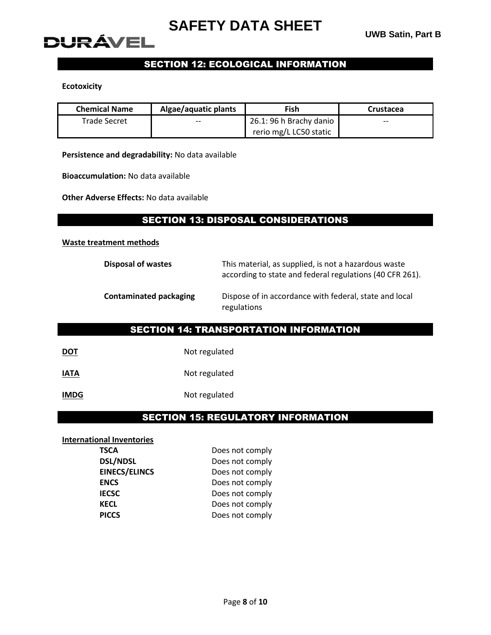

## SECTION 12: ECOLOGICAL INFORMATION

#### **Ecotoxicity**

| <b>Chemical Name</b> | Algae/aquatic plants | Fish                    | Crustacea |
|----------------------|----------------------|-------------------------|-----------|
| <b>Trade Secret</b>  | $- -$                | 26.1: 96 h Brachy danio | $- -$     |
|                      |                      | rerio mg/L LC50 static  |           |

**Persistence and degradability:** No data available

**Bioaccumulation:** No data available

**Other Adverse Effects:** No data available

## SECTION 13: DISPOSAL CONSIDERATIONS

#### **Waste treatment methods**

| Disposal of wastes            | This material, as supplied, is not a hazardous waste<br>according to state and federal regulations (40 CFR 261). |
|-------------------------------|------------------------------------------------------------------------------------------------------------------|
| <b>Contaminated packaging</b> | Dispose of in accordance with federal, state and local<br>regulations                                            |

## SECTION 14: TRANSPORTATION INFORMATION

| <b>DOT</b> | Not regulated |
|------------|---------------|
|------------|---------------|

**IATA** Not regulated

**IMDG** Not regulated

## SECTION 15: REGULATORY INFORMATION

#### **International Inventories**

| <b>TSCA</b>          | Does not comply |
|----------------------|-----------------|
| <b>DSL/NDSL</b>      | Does not comply |
| <b>EINECS/ELINCS</b> | Does not comply |
| <b>ENCS</b>          | Does not comply |
| <b>IECSC</b>         | Does not comply |
| <b>KECL</b>          | Does not comply |
| <b>PICCS</b>         | Does not comply |
|                      |                 |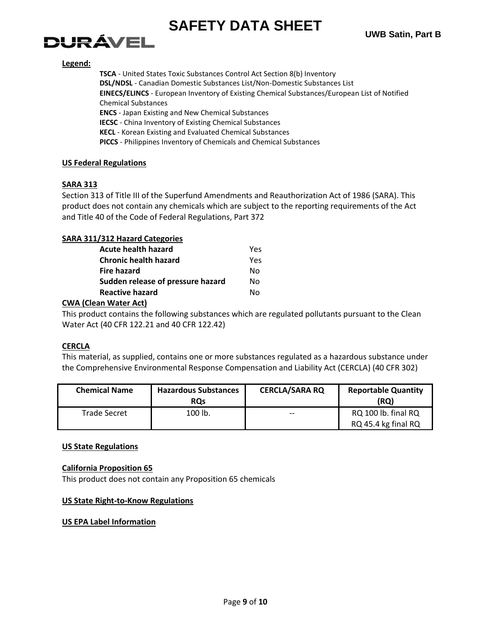# **DURÁVEL**

## **Legend:**

**TSCA** - United States Toxic Substances Control Act Section 8(b) Inventory **DSL/NDSL** - Canadian Domestic Substances List/Non-Domestic Substances List **EINECS/ELINCS** - European Inventory of Existing Chemical Substances/European List of Notified Chemical Substances **ENCS** - Japan Existing and New Chemical Substances **IECSC** - China Inventory of Existing Chemical Substances **KECL** - Korean Existing and Evaluated Chemical Substances **PICCS** - Philippines Inventory of Chemicals and Chemical Substances

## **US Federal Regulations**

## **SARA 313**

Section 313 of Title III of the Superfund Amendments and Reauthorization Act of 1986 (SARA). This product does not contain any chemicals which are subject to the reporting requirements of the Act and Title 40 of the Code of Federal Regulations, Part 372

## **SARA 311/312 Hazard Categories**

| Υρς |
|-----|
| Yes |
| N٥  |
| N٥  |
| N٥  |
|     |

## **CWA (Clean Water Act)**

This product contains the following substances which are regulated pollutants pursuant to the Clean Water Act (40 CFR 122.21 and 40 CFR 122.42)

## **CERCLA**

This material, as supplied, contains one or more substances regulated as a hazardous substance under the Comprehensive Environmental Response Compensation and Liability Act (CERCLA) (40 CFR 302)

| <b>Chemical Name</b> | <b>Hazardous Substances</b><br><b>ROs</b> | <b>CERCLA/SARA RQ</b> | <b>Reportable Quantity</b><br>(RQ)         |
|----------------------|-------------------------------------------|-----------------------|--------------------------------------------|
| <b>Trade Secret</b>  | 100 lb.                                   | $- -$                 | RQ 100 lb. final RQ<br>RQ 45.4 kg final RQ |

## **US State Regulations**

## **California Proposition 65**

This product does not contain any Proposition 65 chemicals

## **US State Right-to-Know Regulations**

## **US EPA Label Information**